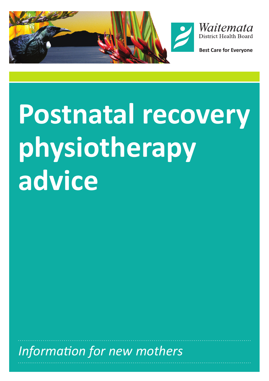



**Best Care for Evervone** 

# **Postnatal recovery physiotherapy advice**

*Information for new mothers*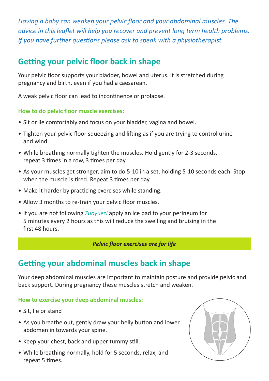*Having a baby can weaken your pelvic floor and your abdominal muscles. The advice in this leaflet will help you recover and prevent long term health problems. If you have further questions please ask to speak with a physiotherapist.* 

## **Getting your pelvic floor back in shape**

Your pelvic floor supports your bladder, bowel and uterus. It is stretched during pregnancy and birth, even if you had a caesarean.

A weak pelvic floor can lead to incontinence or prolapse.

### **How to do pelvic floor muscle exercises:**

- Sit or lie comfortably and focus on your bladder, vagina and bowel.
- Tighten your pelvic floor squeezing and lifting as if you are trying to control urine and wind.
- While breathing normally tighten the muscles. Hold gently for 2-3 seconds, repeat 3 times in a row, 3 times per day.
- As your muscles get stronger, aim to do 5-10 in a set, holding 5-10 seconds each. Stop when the muscle is tired. Repeat 3 times per day.
- Make it harder by practicing exercises while standing.
- Allow 3 months to re-train your pelvic floor muscles.
- If you are not following *Zuoyuezi* apply an ice pad to your perineum for 5 minutes every 2 hours as this will reduce the swelling and bruising in the first 48 hours.

#### *Pelvic floor exercises are for life*

## **Getting your abdominal muscles back in shape**

Your deep abdominal muscles are important to maintain posture and provide pelvic and back support. During pregnancy these muscles stretch and weaken.

#### **How to exercise your deep abdominal muscles:**

- Sit, lie or stand
- As you breathe out, gently draw your belly button and lower abdomen in towards your spine.
- Keep your chest, back and upper tummy still.
- While breathing normally, hold for 5 seconds, relax, and repeat 5 times.

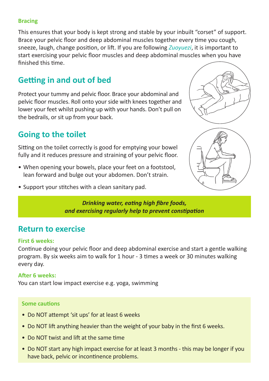#### **Bracing**

This ensures that your body is kept strong and stable by your inbuilt "corset" of support. Brace your pelvic floor and deep abdominal muscles together every time you cough, sneeze, laugh, change position, or lift. If you are following *Zuoyuezi*, it is important to start exercising your pelvic floor muscles and deep abdominal muscles when you have finished this time.

## **Getting in and out of bed**

Protect your tummy and pelvic floor. Brace your abdominal and pelvic floor muscles. Roll onto your side with knees together and lower your feet whilst pushing up with your hands. Don't pull on the bedrails, or sit up from your back.

## **Going to the toilet**

Sitting on the toilet correctly is good for emptying your bowel fully and it reduces pressure and straining of your pelvic floor.

- When opening your bowels, place your feet on a footstool, lean forward and bulge out your abdomen. Don't strain.
- Support your stitches with a clean sanitary pad.



*Drinking water, eating high fibre foods, and exercising regularly help to prevent constipation*

## **Return to exercise**

#### **First 6 weeks:**

Continue doing your pelvic floor and deep abdominal exercise and start a gentle walking program. By six weeks aim to walk for 1 hour - 3 times a week or 30 minutes walking every day.

## **After 6 weeks:**

You can start low impact exercise e.g. yoga, swimming

#### **Some cautions**

- Do NOT attempt 'sit ups' for at least 6 weeks
- Do NOT lift anything heavier than the weight of your baby in the first 6 weeks.
- Do NOT twist and lift at the same time
- Do NOT start any high impact exercise for at least 3 months this may be longer if you have back, pelvic or incontinence problems.